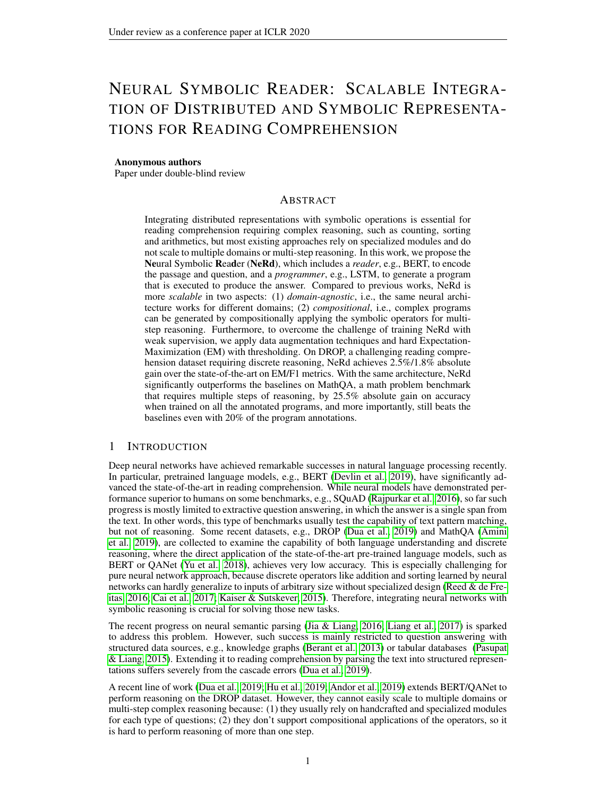# NEURAL SYMBOLIC READER: SCALABLE INTEGRA-TION OF DISTRIBUTED AND SYMBOLIC REPRESENTA-TIONS FOR READING COMPREHENSION

#### Anonymous authors

Paper under double-blind review

## ABSTRACT

Integrating distributed representations with symbolic operations is essential for reading comprehension requiring complex reasoning, such as counting, sorting and arithmetics, but most existing approaches rely on specialized modules and do not scale to multiple domains or multi-step reasoning. In this work, we propose the Neural Symbolic Reader (NeRd), which includes a *reader*, e.g., BERT, to encode the passage and question, and a *programmer*, e.g., LSTM, to generate a program that is executed to produce the answer. Compared to previous works, NeRd is more *scalable* in two aspects: (1) *domain-agnostic*, i.e., the same neural architecture works for different domains; (2) *compositional*, i.e., complex programs can be generated by compositionally applying the symbolic operators for multistep reasoning. Furthermore, to overcome the challenge of training NeRd with weak supervision, we apply data augmentation techniques and hard Expectation-Maximization (EM) with thresholding. On DROP, a challenging reading comprehension dataset requiring discrete reasoning, NeRd achieves 2.5%/1.8% absolute gain over the state-of-the-art on EM/F1 metrics. With the same architecture, NeRd significantly outperforms the baselines on MathQA, a math problem benchmark that requires multiple steps of reasoning, by 25.5% absolute gain on accuracy when trained on all the annotated programs, and more importantly, still beats the baselines even with 20% of the program annotations.

## <span id="page-0-0"></span>1 INTRODUCTION

Deep neural networks have achieved remarkable successes in natural language processing recently. In particular, pretrained language models, e.g., BERT [\(Devlin et al., 2019\)](#page-9-0), have significantly advanced the state-of-the-art in reading comprehension. While neural models have demonstrated performance superior to humans on some benchmarks, e.g., SQuAD [\(Rajpurkar et al., 2016\)](#page-10-0), so far such progress is mostly limited to extractive question answering, in which the answer is a single span from the text. In other words, this type of benchmarks usually test the capability of text pattern matching, but not of reasoning. Some recent datasets, e.g., DROP [\(Dua et al., 2019\)](#page-9-1) and MathQA [\(Amini](#page-9-2) [et al., 2019\)](#page-9-2), are collected to examine the capability of both language understanding and discrete reasoning, where the direct application of the state-of-the-art pre-trained language models, such as BERT or QANet [\(Yu et al., 2018\)](#page-11-0), achieves very low accuracy. This is especially challenging for pure neural network approach, because discrete operators like addition and sorting learned by neural networks can hardly generalize to inputs of arbitrary size without specialized design [\(Reed & de Fre](#page-10-1)[itas, 2016;](#page-10-1) [Cai et al., 2017;](#page-9-3) [Kaiser & Sutskever, 2015\)](#page-10-2). Therefore, integrating neural networks with symbolic reasoning is crucial for solving those new tasks.

The recent progress on neural semantic parsing [\(Jia & Liang, 2016;](#page-9-4) [Liang et al., 2017\)](#page-10-3) is sparked to address this problem. However, such success is mainly restricted to question answering with structured data sources, e.g., knowledge graphs [\(Berant et al., 2013\)](#page-9-5) or tabular databases [\(Pasupat](#page-10-4) [& Liang, 2015\)](#page-10-4). Extending it to reading comprehension by parsing the text into structured representations suffers severely from the cascade errors [\(Dua et al., 2019\)](#page-9-1).

A recent line of work [\(Dua et al., 2019;](#page-9-1) [Hu et al., 2019;](#page-9-6) [Andor et al., 2019\)](#page-9-7) extends BERT/QANet to perform reasoning on the DROP dataset. However, they cannot easily scale to multiple domains or multi-step complex reasoning because: (1) they usually rely on handcrafted and specialized modules for each type of questions; (2) they don't support compositional applications of the operators, so it is hard to perform reasoning of more than one step.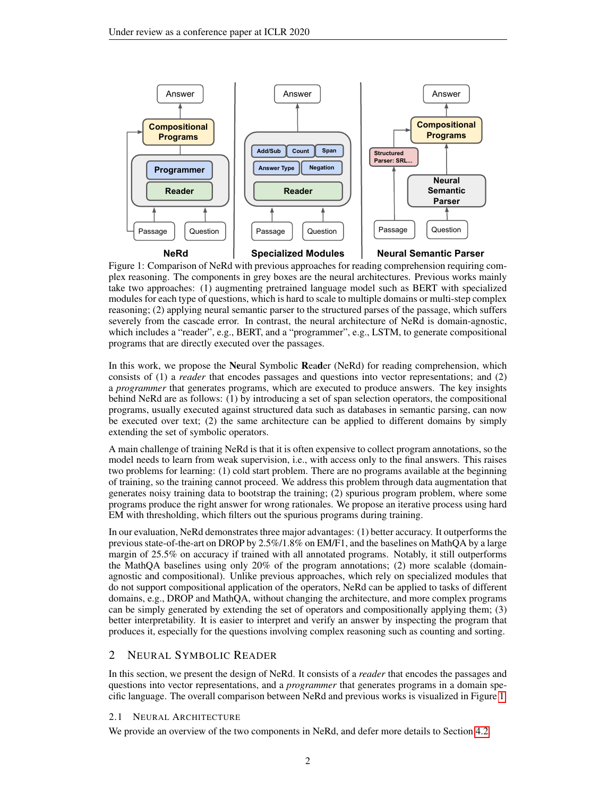<span id="page-1-0"></span>

Figure 1: Comparison of NeRd with previous approaches for reading comprehension requiring complex reasoning. The components in grey boxes are the neural architectures. Previous works mainly take two approaches: (1) augmenting pretrained language model such as BERT with specialized modules for each type of questions, which is hard to scale to multiple domains or multi-step complex reasoning; (2) applying neural semantic parser to the structured parses of the passage, which suffers severely from the cascade error. In contrast, the neural architecture of NeRd is domain-agnostic, which includes a "reader", e.g., BERT, and a "programmer", e.g., LSTM, to generate compositional programs that are directly executed over the passages.

In this work, we propose the Neural Symbolic Reader (NeRd) for reading comprehension, which consists of (1) a *reader* that encodes passages and questions into vector representations; and (2) a *programmer* that generates programs, which are executed to produce answers. The key insights behind NeRd are as follows: (1) by introducing a set of span selection operators, the compositional programs, usually executed against structured data such as databases in semantic parsing, can now be executed over text; (2) the same architecture can be applied to different domains by simply extending the set of symbolic operators.

A main challenge of training NeRd is that it is often expensive to collect program annotations, so the model needs to learn from weak supervision, i.e., with access only to the final answers. This raises two problems for learning: (1) cold start problem. There are no programs available at the beginning of training, so the training cannot proceed. We address this problem through data augmentation that generates noisy training data to bootstrap the training; (2) spurious program problem, where some programs produce the right answer for wrong rationales. We propose an iterative process using hard EM with thresholding, which filters out the spurious programs during training.

In our evaluation, NeRd demonstrates three major advantages: (1) better accuracy. It outperforms the previous state-of-the-art on DROP by 2.5%/1.8% on EM/F1, and the baselines on MathQA by a large margin of 25.5% on accuracy if trained with all annotated programs. Notably, it still outperforms the MathQA baselines using only 20% of the program annotations; (2) more scalable (domainagnostic and compositional). Unlike previous approaches, which rely on specialized modules that do not support compositional application of the operators, NeRd can be applied to tasks of different domains, e.g., DROP and MathQA, without changing the architecture, and more complex programs can be simply generated by extending the set of operators and compositionally applying them; (3) better interpretability. It is easier to interpret and verify an answer by inspecting the program that produces it, especially for the questions involving complex reasoning such as counting and sorting.

# 2 NEURAL SYMBOLIC READER

In this section, we present the design of NeRd. It consists of a *reader* that encodes the passages and questions into vector representations, and a *programmer* that generates programs in a domain specific language. The overall comparison between NeRd and previous works is visualized in Figure [1.](#page-1-0)

# 2.1 NEURAL ARCHITECTURE

We provide an overview of the two components in NeRd, and defer more details to Section [4.2.](#page-4-0)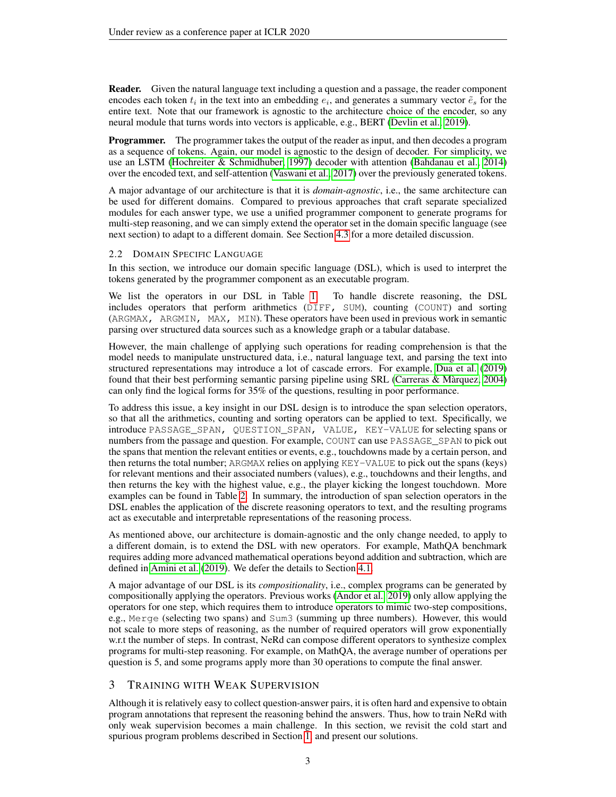Reader. Given the natural language text including a question and a passage, the reader component encodes each token  $t_i$  in the text into an embedding  $e_i$ , and generates a summary vector  $\tilde{e}_s$  for the entire text. Note that our framework is agnostic to the architecture choice of the encoder, so any neural module that turns words into vectors is applicable, e.g., BERT [\(Devlin et al., 2019\)](#page-9-0).

**Programmer.** The programmer takes the output of the reader as input, and then decodes a program as a sequence of tokens. Again, our model is agnostic to the design of decoder. For simplicity, we use an LSTM [\(Hochreiter & Schmidhuber, 1997\)](#page-9-8) decoder with attention [\(Bahdanau et al., 2014\)](#page-9-9) over the encoded text, and self-attention [\(Vaswani et al., 2017\)](#page-11-1) over the previously generated tokens.

A major advantage of our architecture is that it is *domain-agnostic*, i.e., the same architecture can be used for different domains. Compared to previous approaches that craft separate specialized modules for each answer type, we use a unified programmer component to generate programs for multi-step reasoning, and we can simply extend the operator set in the domain specific language (see next section) to adapt to a different domain. See Section [4.3](#page-6-0) for a more detailed discussion.

#### <span id="page-2-0"></span>2.2 DOMAIN SPECIFIC LANGUAGE

In this section, we introduce our domain specific language (DSL), which is used to interpret the tokens generated by the programmer component as an executable program.

We list the operators in our DSL in Table [1.](#page-3-0) To handle discrete reasoning, the DSL includes operators that perform arithmetics (DIFF, SUM), counting (COUNT) and sorting (ARGMAX, ARGMIN, MAX, MIN). These operators have been used in previous work in semantic parsing over structured data sources such as a knowledge graph or a tabular database.

However, the main challenge of applying such operations for reading comprehension is that the model needs to manipulate unstructured data, i.e., natural language text, and parsing the text into structured representations may introduce a lot of cascade errors. For example, [Dua et al.](#page-9-1) [\(2019\)](#page-9-1) found that their best performing semantic parsing pipeline using SRL [\(Carreras & Marquez, 2004\)](#page-9-10) ` can only find the logical forms for 35% of the questions, resulting in poor performance.

To address this issue, a key insight in our DSL design is to introduce the span selection operators, so that all the arithmetics, counting and sorting operators can be applied to text. Specifically, we introduce PASSAGE\_SPAN, QUESTION\_SPAN, VALUE, KEY-VALUE for selecting spans or numbers from the passage and question. For example, COUNT can use PASSAGE SPAN to pick out the spans that mention the relevant entities or events, e.g., touchdowns made by a certain person, and then returns the total number; ARGMAX relies on applying KEY-VALUE to pick out the spans (keys) for relevant mentions and their associated numbers (values), e.g., touchdowns and their lengths, and then returns the key with the highest value, e.g., the player kicking the longest touchdown. More examples can be found in Table [2.](#page-5-0) In summary, the introduction of span selection operators in the DSL enables the application of the discrete reasoning operators to text, and the resulting programs act as executable and interpretable representations of the reasoning process.

As mentioned above, our architecture is domain-agnostic and the only change needed, to apply to a different domain, is to extend the DSL with new operators. For example, MathQA benchmark requires adding more advanced mathematical operations beyond addition and subtraction, which are defined in [Amini et al.](#page-9-2) [\(2019\)](#page-9-2). We defer the details to Section [4.1.](#page-4-1)

A major advantage of our DSL is its *compositionality*, i.e., complex programs can be generated by compositionally applying the operators. Previous works [\(Andor et al., 2019\)](#page-9-7) only allow applying the operators for one step, which requires them to introduce operators to mimic two-step compositions, e.g., Merge (selecting two spans) and Sum3 (summing up three numbers). However, this would not scale to more steps of reasoning, as the number of required operators will grow exponentially w.r.t the number of steps. In contrast, NeRd can compose different operators to synthesize complex programs for multi-step reasoning. For example, on MathQA, the average number of operations per question is 5, and some programs apply more than 30 operations to compute the final answer.

## 3 TRAINING WITH WEAK SUPERVISION

Although it is relatively easy to collect question-answer pairs, it is often hard and expensive to obtain program annotations that represent the reasoning behind the answers. Thus, how to train NeRd with only weak supervision becomes a main challenge. In this section, we revisit the cold start and spurious program problems described in Section [1,](#page-0-0) and present our solutions.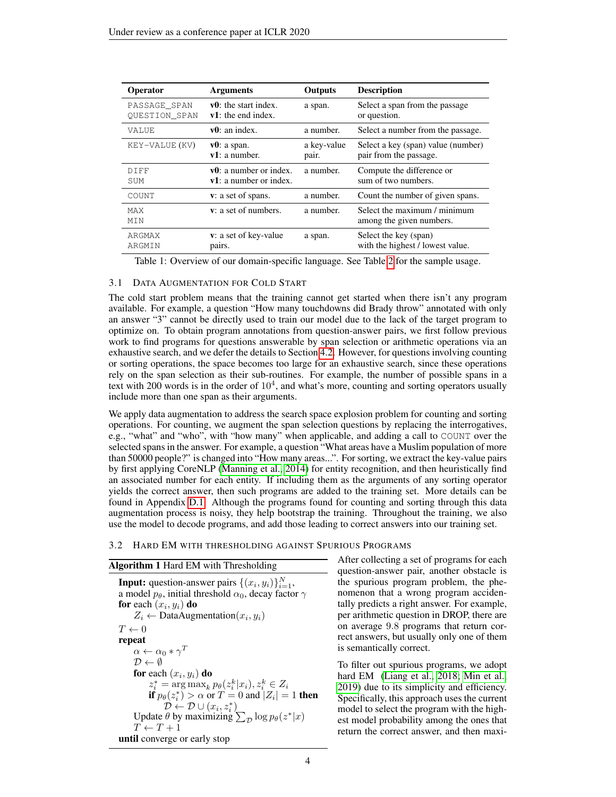<span id="page-3-0"></span>

| Operator             | <b>Arguments</b>             | Outputs     | <b>Description</b>                                       |
|----------------------|------------------------------|-------------|----------------------------------------------------------|
| PASSAGE SPAN         | $v0$ : the start index.      | a span.     | Select a span from the passage                           |
| <b>OUESTION SPAN</b> | $v1$ : the end index.        |             | or question.                                             |
| VALUE                | $v0$ : an index.             | a number.   | Select a number from the passage.                        |
| KEY-VALUE (KV)       | $v0$ : a span.               | a key-value | Select a key (span) value (number)                       |
|                      | v1: a number.                | pair.       | pair from the passage.                                   |
| DIFF                 | $v0$ : a number or index.    | a number.   | Compute the difference or                                |
| SUM                  | $v1$ : a number or index.    |             | sum of two numbers.                                      |
| COUNT                | v: a set of spans.           | a number.   | Count the number of given spans.                         |
| <b>MAX</b><br>MTN    | <b>v</b> : a set of numbers. | a number.   | Select the maximum / minimum<br>among the given numbers. |
| ARGMAX               | v: a set of key-value        | a span.     | Select the key (span)                                    |
| ARGMIN               | pairs.                       |             | with the highest / lowest value.                         |

Table 1: Overview of our domain-specific language. See Table [2](#page-5-0) for the sample usage.

## <span id="page-3-2"></span>3.1 DATA AUGMENTATION FOR COLD START

The cold start problem means that the training cannot get started when there isn't any program available. For example, a question "How many touchdowns did Brady throw" annotated with only an answer "3" cannot be directly used to train our model due to the lack of the target program to optimize on. To obtain program annotations from question-answer pairs, we first follow previous work to find programs for questions answerable by span selection or arithmetic operations via an exhaustive search, and we defer the details to Section [4.2.](#page-4-0) However, for questions involving counting or sorting operations, the space becomes too large for an exhaustive search, since these operations rely on the span selection as their sub-routines. For example, the number of possible spans in a text with 200 words is in the order of  $10<sup>4</sup>$ , and what's more, counting and sorting operators usually include more than one span as their arguments.

We apply data augmentation to address the search space explosion problem for counting and sorting operations. For counting, we augment the span selection questions by replacing the interrogatives, e.g., "what" and "who", with "how many" when applicable, and adding a call to COUNT over the selected spans in the answer. For example, a question "What areas have a Muslim population of more than 50000 people?" is changed into "How many areas...". For sorting, we extract the key-value pairs by first applying CoreNLP [\(Manning et al., 2014\)](#page-10-5) for entity recognition, and then heuristically find an associated number for each entity. If including them as the arguments of any sorting operator yields the correct answer, then such programs are added to the training set. More details can be found in Appendix [D.1.](#page-12-0) Although the programs found for counting and sorting through this data augmentation process is noisy, they help bootstrap the training. Throughout the training, we also use the model to decode programs, and add those leading to correct answers into our training set.

#### <span id="page-3-3"></span>3.2 HARD EM WITH THRESHOLDING AGAINST SPURIOUS PROGRAMS

#### <span id="page-3-1"></span>Algorithm 1 Hard EM with Thresholding

**Input:** question-answer pairs  $\{(x_i, y_i)\}_{i=1}^N$ , a model  $p_{\theta}$ , initial threshold  $\alpha_0$ , decay factor  $\gamma$ for each  $(x_i, y_i)$  do  $Z_i \leftarrow$  DataAugmentation $(x_i, y_i)$  $T \leftarrow 0$ repeat  $\alpha \leftarrow \alpha_0 * \gamma^T$  $\mathcal{D} \leftarrow \emptyset$ for each  $(x_i, y_i)$  do  $z_i^* = \arg \max_k p_\theta(z_i^k|x_i), z_i^k \in Z_i$ if  $p_{\theta}(z_i^*) > \alpha$  or  $T = 0$  and  $|Z_i| = 1$  then  $\mathcal{D} \leftarrow \mathcal{D} \cup (x_i, z_i^*)$ Update  $\theta$  by maximizing  $\sum_{\mathcal{D}} \log p_{\theta}(z^*|x)$  $T \leftarrow T + 1$ until converge or early stop

After collecting a set of programs for each question-answer pair, another obstacle is the spurious program problem, the phenomenon that a wrong program accidentally predicts a right answer. For example, per arithmetic question in DROP, there are on average 9.8 programs that return correct answers, but usually only one of them is semantically correct.

To filter out spurious programs, we adopt hard EM [\(Liang et al., 2018;](#page-10-6) [Min et al.,](#page-10-7) [2019\)](#page-10-7) due to its simplicity and efficiency. Specifically, this approach uses the current model to select the program with the highest model probability among the ones that return the correct answer, and then maxi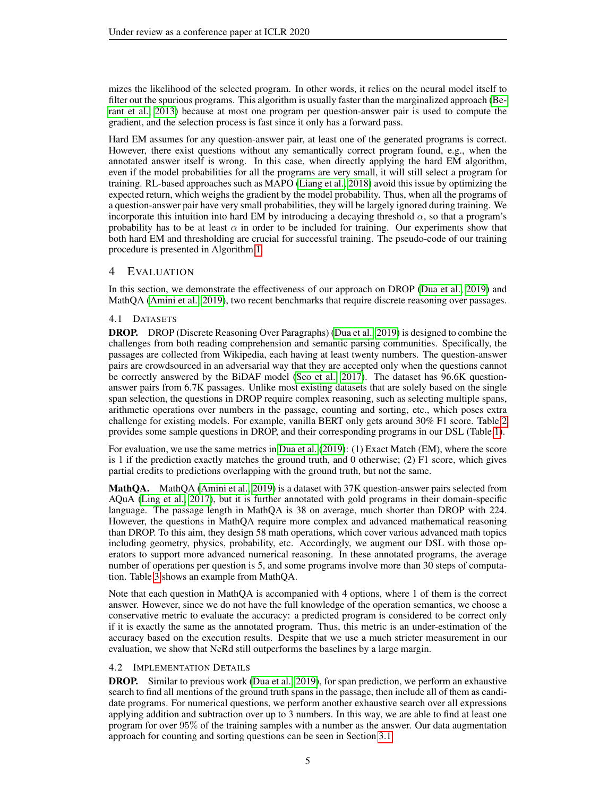mizes the likelihood of the selected program. In other words, it relies on the neural model itself to filter out the spurious programs. This algorithm is usually faster than the marginalized approach [\(Be](#page-9-5)[rant et al., 2013\)](#page-9-5) because at most one program per question-answer pair is used to compute the gradient, and the selection process is fast since it only has a forward pass.

Hard EM assumes for any question-answer pair, at least one of the generated programs is correct. However, there exist questions without any semantically correct program found, e.g., when the annotated answer itself is wrong. In this case, when directly applying the hard EM algorithm, even if the model probabilities for all the programs are very small, it will still select a program for training. RL-based approaches such as MAPO [\(Liang et al., 2018\)](#page-10-6) avoid this issue by optimizing the expected return, which weighs the gradient by the model probability. Thus, when all the programs of a question-answer pair have very small probabilities, they will be largely ignored during training. We incorporate this intuition into hard EM by introducing a decaying threshold  $\alpha$ , so that a program's probability has to be at least  $\alpha$  in order to be included for training. Our experiments show that both hard EM and thresholding are crucial for successful training. The pseudo-code of our training procedure is presented in Algorithm [1.](#page-3-1)

# 4 EVALUATION

In this section, we demonstrate the effectiveness of our approach on DROP [\(Dua et al., 2019\)](#page-9-1) and MathQA [\(Amini et al., 2019\)](#page-9-2), two recent benchmarks that require discrete reasoning over passages.

# <span id="page-4-1"></span>4.1 DATASETS

DROP. DROP (Discrete Reasoning Over Paragraphs) [\(Dua et al., 2019\)](#page-9-1) is designed to combine the challenges from both reading comprehension and semantic parsing communities. Specifically, the passages are collected from Wikipedia, each having at least twenty numbers. The question-answer pairs are crowdsourced in an adversarial way that they are accepted only when the questions cannot be correctly answered by the BiDAF model [\(Seo et al., 2017\)](#page-11-2). The dataset has 96.6K questionanswer pairs from 6.7K passages. Unlike most existing datasets that are solely based on the single span selection, the questions in DROP require complex reasoning, such as selecting multiple spans, arithmetic operations over numbers in the passage, counting and sorting, etc., which poses extra challenge for existing models. For example, vanilla BERT only gets around 30% F1 score. Table [2](#page-5-0) provides some sample questions in DROP, and their corresponding programs in our DSL (Table [1\)](#page-3-0).

For evaluation, we use the same metrics in [Dua et al.](#page-9-1) [\(2019\)](#page-9-1): (1) Exact Match (EM), where the score is 1 if the prediction exactly matches the ground truth, and 0 otherwise;  $(2)$  F1 score, which gives partial credits to predictions overlapping with the ground truth, but not the same.

MathQA. MathQA [\(Amini et al., 2019\)](#page-9-2) is a dataset with 37K question-answer pairs selected from AQuA [\(Ling et al., 2017\)](#page-10-8), but it is further annotated with gold programs in their domain-specific language. The passage length in MathQA is 38 on average, much shorter than DROP with 224. However, the questions in MathQA require more complex and advanced mathematical reasoning than DROP. To this aim, they design 58 math operations, which cover various advanced math topics including geometry, physics, probability, etc. Accordingly, we augment our DSL with those operators to support more advanced numerical reasoning. In these annotated programs, the average number of operations per question is 5, and some programs involve more than 30 steps of computation. Table [3](#page-5-1) shows an example from MathQA.

Note that each question in MathQA is accompanied with 4 options, where 1 of them is the correct answer. However, since we do not have the full knowledge of the operation semantics, we choose a conservative metric to evaluate the accuracy: a predicted program is considered to be correct only if it is exactly the same as the annotated program. Thus, this metric is an under-estimation of the accuracy based on the execution results. Despite that we use a much stricter measurement in our evaluation, we show that NeRd still outperforms the baselines by a large margin.

## <span id="page-4-0"></span>4.2 IMPLEMENTATION DETAILS

DROP. Similar to previous work [\(Dua et al., 2019\)](#page-9-1), for span prediction, we perform an exhaustive search to find all mentions of the ground truth spans in the passage, then include all of them as candidate programs. For numerical questions, we perform another exhaustive search over all expressions applying addition and subtraction over up to 3 numbers. In this way, we are able to find at least one program for over 95% of the training samples with a number as the answer. Our data augmentation approach for counting and sorting questions can be seen in Section [3.1.](#page-3-2)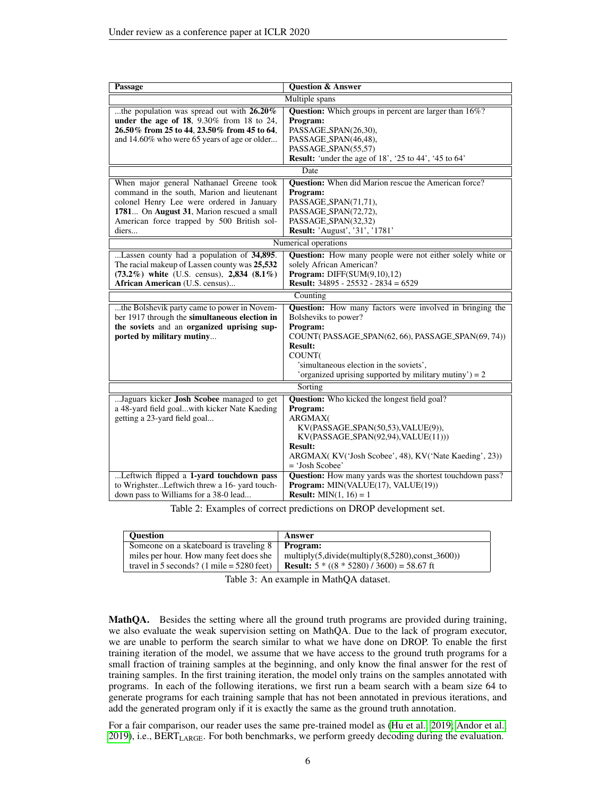<span id="page-5-0"></span>

| <b>Question &amp; Answer</b><br><b>Passage</b>                                                             |                                                                 |  |  |  |
|------------------------------------------------------------------------------------------------------------|-----------------------------------------------------------------|--|--|--|
| Multiple spans                                                                                             |                                                                 |  |  |  |
| the population was spread out with 26.20%<br><b>Question:</b> Which groups in percent are larger than 16%? |                                                                 |  |  |  |
| under the age of 18, $9.30\%$ from 18 to 24,                                                               | Program:                                                        |  |  |  |
| 26.50% from 25 to 44, 23.50% from 45 to 64,                                                                | PASSAGE_SPAN(26,30),                                            |  |  |  |
| and 14.60% who were 65 years of age or older                                                               | PASSAGE_SPAN(46,48),                                            |  |  |  |
|                                                                                                            | PASSAGE_SPAN(55,57)                                             |  |  |  |
|                                                                                                            | <b>Result:</b> 'under the age of 18', '25 to 44', '45 to 64'    |  |  |  |
|                                                                                                            | Date                                                            |  |  |  |
| When major general Nathanael Greene took                                                                   | <b>Question:</b> When did Marion rescue the American force?     |  |  |  |
| command in the south, Marion and lieutenant                                                                | Program:                                                        |  |  |  |
| colonel Henry Lee were ordered in January                                                                  | PASSAGE_SPAN(71,71),                                            |  |  |  |
| 1781 On August 31, Marion rescued a small                                                                  | PASSAGE_SPAN(72,72),                                            |  |  |  |
| American force trapped by 500 British sol-                                                                 | PASSAGE_SPAN(32,32)                                             |  |  |  |
| diers                                                                                                      | Result: 'August', '31', '1781'                                  |  |  |  |
|                                                                                                            | Numerical operations                                            |  |  |  |
| Lassen county had a population of 34,895.                                                                  | Question: How many people were not either solely white or       |  |  |  |
| The racial makeup of Lassen county was 25,532                                                              | solely African American?                                        |  |  |  |
| $(73.2\%)$ white (U.S. census), 2,834 $(8.1\%)$                                                            | <b>Program:</b> DIFF $(SUM(9,10),12)$                           |  |  |  |
| African American (U.S. census)                                                                             | <b>Result:</b> $34895 - 25532 - 2834 = 6529$                    |  |  |  |
|                                                                                                            | Counting                                                        |  |  |  |
| the Bolshevik party came to power in Novem-                                                                | <b>Question:</b> How many factors were involved in bringing the |  |  |  |
| ber 1917 through the simultaneous election in                                                              | Bolsheviks to power?                                            |  |  |  |
| the soviets and an organized uprising sup-                                                                 | Program:                                                        |  |  |  |
| ported by military mutiny                                                                                  | COUNT(PASSAGE_SPAN(62, 66), PASSAGE_SPAN(69, 74))               |  |  |  |
|                                                                                                            | <b>Result:</b>                                                  |  |  |  |
|                                                                                                            | COUNT(                                                          |  |  |  |
|                                                                                                            | 'simultaneous election in the soviets',                         |  |  |  |
|                                                                                                            | 'organized uprising supported by military mutiny') = $2$        |  |  |  |
|                                                                                                            | Sorting                                                         |  |  |  |
| Jaguars kicker <b>Josh Scobee</b> managed to get                                                           | <b>Question:</b> Who kicked the longest field goal?             |  |  |  |
| a 48-yard field goalwith kicker Nate Kaeding                                                               | Program:                                                        |  |  |  |
| getting a 23-yard field goal                                                                               | ARGMAX(                                                         |  |  |  |
|                                                                                                            | KV(PASSAGE_SPAN(50,53), VALUE(9)),                              |  |  |  |
|                                                                                                            | KV(PASSAGE_SPAN(92,94), VALUE(11)))                             |  |  |  |
|                                                                                                            | <b>Result:</b>                                                  |  |  |  |
|                                                                                                            | ARGMAX(KV('Josh Scobee', 48), KV('Nate Kaeding', 23))           |  |  |  |
|                                                                                                            | = 'Josh Scobee'                                                 |  |  |  |
| Leftwich flipped a 1-yard touchdown pass                                                                   | Question: How many yards was the shortest touchdown pass?       |  |  |  |
| to WrighsterLeftwich threw a 16- yard touch-                                                               | Program: MIN(VALUE(17), VALUE(19))                              |  |  |  |
| down pass to Williams for a 38-0 lead                                                                      | <b>Result:</b> MIN $(1, 16) = 1$                                |  |  |  |

Table 2: Examples of correct predictions on DROP development set.

<span id="page-5-1"></span>

| <b>Ouestion</b>                                             | Answer                                                               |
|-------------------------------------------------------------|----------------------------------------------------------------------|
| Someone on a skateboard is traveling 8                      | Program:                                                             |
| miles per hour. How many feet does she                      | multiply $(5, \text{divide}(multiply (8, 5280), \text{const.}3600))$ |
| travel in 5 seconds? $(1 \text{ mile} = 5280 \text{ feet})$ | <b>Result:</b> $5 * ((8 * 5280) / 3600) = 58.67$ ft                  |

Table 3: An example in MathQA dataset.

MathQA. Besides the setting where all the ground truth programs are provided during training, we also evaluate the weak supervision setting on MathQA. Due to the lack of program executor, we are unable to perform the search similar to what we have done on DROP. To enable the first training iteration of the model, we assume that we have access to the ground truth programs for a small fraction of training samples at the beginning, and only know the final answer for the rest of training samples. In the first training iteration, the model only trains on the samples annotated with programs. In each of the following iterations, we first run a beam search with a beam size 64 to generate programs for each training sample that has not been annotated in previous iterations, and add the generated program only if it is exactly the same as the ground truth annotation.

For a fair comparison, our reader uses the same pre-trained model as [\(Hu et al., 2019;](#page-9-6) [Andor et al.,](#page-9-7) [2019\)](#page-9-7), i.e., BERTLARGE. For both benchmarks, we perform greedy decoding during the evaluation.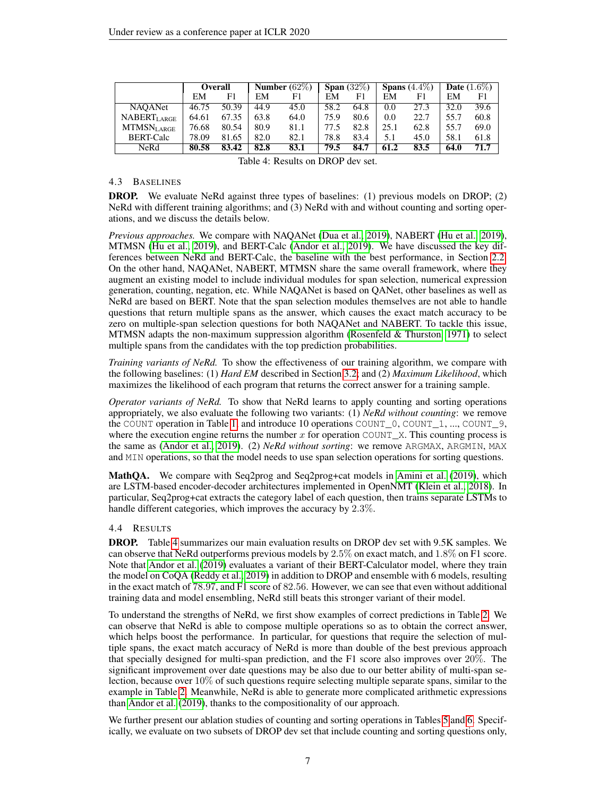<span id="page-6-1"></span>

|                           |       | <b>Overall</b> |      | Number $(62\%)$ |      | Span $\overline{(32\%)}$ |      | Spans $\overline{(4.4\%)}$ |      | <b>Date</b> $(1.6\%)$ |
|---------------------------|-------|----------------|------|-----------------|------|--------------------------|------|----------------------------|------|-----------------------|
|                           | EM    | F1             | EM   | F1              | EM   | F1                       | EM   | F1                         | EM   | F1                    |
| <b>NAOANet</b>            | 46.75 | 50.39          | 44.9 | 45.0            | 58.2 | 64.8                     | 0.0  | 27.3                       | 32.0 | 39.6                  |
| NABERTLARGE               | 64.61 | 67.35          | 63.8 | 64.0            | 75.9 | 80.6                     | 0.0  | 22.7                       | 55.7 | 60.8                  |
| $\rm{MTMSN}_{\rm{LARGE}}$ | 76.68 | 80.54          | 80.9 | 81.1            | 77.5 | 82.8                     | 25.1 | 62.8                       | 55.7 | 69.0                  |
| <b>BERT-Calc</b>          | 78.09 | 81.65          | 82.0 | 82.1            | 78.8 | 83.4                     | 5.1  | 45.0                       | 58.1 | 61.8                  |
| NeRd                      | 80.58 | 83.42          | 82.8 | 83.1            | 79.5 | 84.7                     | 61.2 | 83.5                       | 64.0 | 71.7                  |

Table 4: Results on DROP dev set.

#### <span id="page-6-0"></span>4.3 BASELINES

DROP. We evaluate NeRd against three types of baselines: (1) previous models on DROP; (2) NeRd with different training algorithms; and (3) NeRd with and without counting and sorting operations, and we discuss the details below.

*Previous approaches.* We compare with NAQANet [\(Dua et al., 2019\)](#page-9-1), NABERT [\(Hu et al., 2019\)](#page-9-6), MTMSN [\(Hu et al., 2019\)](#page-9-6), and BERT-Calc [\(Andor et al., 2019\)](#page-9-7). We have discussed the key differences between NeRd and BERT-Calc, the baseline with the best performance, in Section [2.2.](#page-2-0) On the other hand, NAQANet, NABERT, MTMSN share the same overall framework, where they augment an existing model to include individual modules for span selection, numerical expression generation, counting, negation, etc. While NAQANet is based on QANet, other baselines as well as NeRd are based on BERT. Note that the span selection modules themselves are not able to handle questions that return multiple spans as the answer, which causes the exact match accuracy to be zero on multiple-span selection questions for both NAQANet and NABERT. To tackle this issue, MTMSN adapts the non-maximum suppression algorithm [\(Rosenfeld & Thurston, 1971\)](#page-11-3) to select multiple spans from the candidates with the top prediction probabilities.

*Training variants of NeRd.* To show the effectiveness of our training algorithm, we compare with the following baselines: (1) *Hard EM* described in Section [3.2;](#page-3-3) and (2) *Maximum Likelihood*, which maximizes the likelihood of each program that returns the correct answer for a training sample.

*Operator variants of NeRd.* To show that NeRd learns to apply counting and sorting operations appropriately, we also evaluate the following two variants: (1) *NeRd without counting*: we remove the COUNT operation in Table [1,](#page-3-0) and introduce 10 operations COUNT\_0, COUNT\_1, ..., COUNT\_9, where the execution engine returns the number x for operation COUNT\_X. This counting process is the same as [\(Andor et al., 2019\)](#page-9-7). (2) *NeRd without sorting*: we remove ARGMAX, ARGMIN, MAX and MIN operations, so that the model needs to use span selection operations for sorting questions.

MathQA. We compare with Seq2prog and Seq2prog+cat models in [Amini et al.](#page-9-2) [\(2019\)](#page-9-2), which are LSTM-based encoder-decoder architectures implemented in OpenNMT [\(Klein et al., 2018\)](#page-10-9). In particular, Seq2prog+cat extracts the category label of each question, then trains separate LSTMs to handle different categories, which improves the accuracy by 2.3%.

## 4.4 RESULTS

DROP. Table [4](#page-6-1) summarizes our main evaluation results on DROP dev set with 9.5K samples. We can observe that NeRd outperforms previous models by  $2.5\%$  on exact match, and  $1.8\%$  on  $\overline{F}1$  score. Note that [Andor et al.](#page-9-7) [\(2019\)](#page-9-7) evaluates a variant of their BERT-Calculator model, where they train the model on CoQA [\(Reddy et al., 2019\)](#page-10-10) in addition to DROP and ensemble with 6 models, resulting in the exact match of 78.97, and F1 score of 82.56. However, we can see that even without additional training data and model ensembling, NeRd still beats this stronger variant of their model.

To understand the strengths of NeRd, we first show examples of correct predictions in Table [2.](#page-5-0) We can observe that NeRd is able to compose multiple operations so as to obtain the correct answer, which helps boost the performance. In particular, for questions that require the selection of multiple spans, the exact match accuracy of NeRd is more than double of the best previous approach that specially designed for multi-span prediction, and the F1 score also improves over 20%. The significant improvement over date questions may be also due to our better ability of multi-span selection, because over 10% of such questions require selecting multiple separate spans, similar to the example in Table [2.](#page-5-0) Meanwhile, NeRd is able to generate more complicated arithmetic expressions than [Andor et al.](#page-9-7) [\(2019\)](#page-9-7), thanks to the compositionality of our approach.

We further present our ablation studies of counting and sorting operations in Tables [5](#page-7-0) and [6.](#page-7-1) Specifically, we evaluate on two subsets of DROP dev set that include counting and sorting questions only,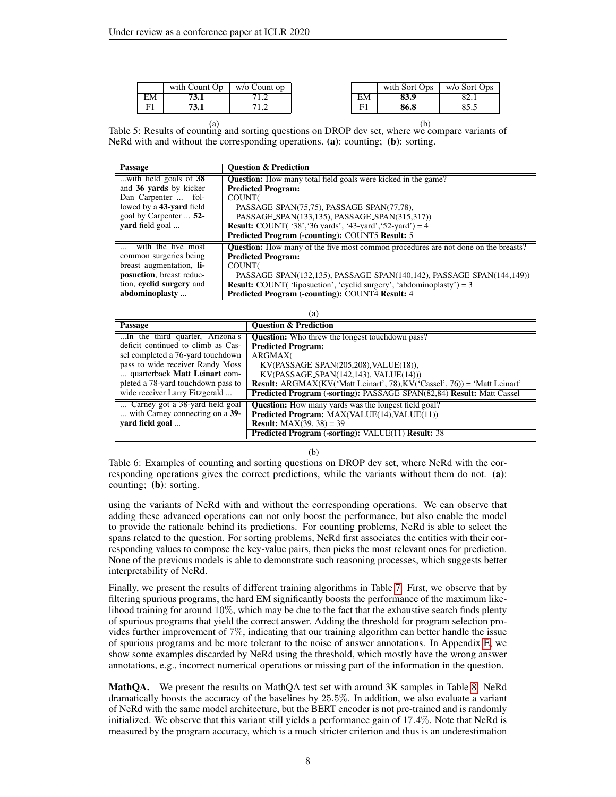<span id="page-7-0"></span>

|    | with Count Op | w/o Count op   |    | with Sort Ops | w/o Sort Ops |
|----|---------------|----------------|----|---------------|--------------|
| EM | 'J.I          | $\overline{1}$ | EM | 83.9          | 82.1         |
| T. | э. I          |                | F  | 86.8          | 85.5         |

(a) (b) Table 5: Results of counting and sorting questions on DROP dev set, where we compare variants of NeRd with and without the corresponding operations. (a): counting; (b): sorting.

<span id="page-7-1"></span>

| Passage                  | <b>Ouestion &amp; Prediction</b>                                                          |
|--------------------------|-------------------------------------------------------------------------------------------|
| with field goals of 38   | <b>Question:</b> How many total field goals were kicked in the game?                      |
| and 36 yards by kicker   | <b>Predicted Program:</b>                                                                 |
| Dan Carpenter  fol-      | COUNT(                                                                                    |
| lowed by a 43-yard field | PASSAGE_SPAN(75,75), PASSAGE_SPAN(77,78),                                                 |
| goal by Carpenter  52-   | PASSAGE_SPAN(133,135), PASSAGE_SPAN(315,317))                                             |
| yard field goal          | <b>Result:</b> COUNT( $'38'$ , '36 yards', '43-yard', '52-yard') = 4                      |
|                          | Predicted Program (-counting): COUNT5 Result: 5                                           |
| with the five most       | <b>Question:</b> How many of the five most common procedures are not done on the breasts? |
| common surgeries being   | <b>Predicted Program:</b>                                                                 |
| breast augmentation, li- | <b>COUNT</b>                                                                              |
| posuction, breast reduc- | PASSAGE_SPAN(132,135), PASSAGE_SPAN(140,142), PASSAGE_SPAN(144,149))                      |
| tion, eyelid surgery and | <b>Result:</b> COUNT('liposuction', 'eyelid surgery', 'abdominoplasty') = $3$             |
| abdominoplasty           | <b>Predicted Program (-counting): COUNT4 Result: 4</b>                                    |

| (a)                                |                                                                                  |  |  |
|------------------------------------|----------------------------------------------------------------------------------|--|--|
| Passage                            | <b>Ouestion &amp; Prediction</b>                                                 |  |  |
| In the third quarter, Arizona's    | <b>Question:</b> Who threw the longest touch down pass?                          |  |  |
| deficit continued to climb as Cas- | <b>Predicted Program:</b>                                                        |  |  |
| sel completed a 76-yard touchdown  | ARGMAX(                                                                          |  |  |
| pass to wide receiver Randy Moss   | $KV(PASSAGE\_SPAN(205,208), VALUE(18)),$                                         |  |  |
| quarterback Matt Leinart com-      | $KV(PASSAGE\_SPAN(142,143), VALUE(14)))$                                         |  |  |
| pleted a 78-yard touchdown pass to | <b>Result:</b> ARGMAX(KV('Matt Leinart', 78), KV('Cassel', 76)) = 'Matt Leinart' |  |  |
| wide receiver Larry Fitzgerald     | <b>Predicted Program (-sorting): PASSAGE_SPAN(82,84) Result: Matt Cassel</b>     |  |  |
| Carney got a 38-yard field goal    | Question: How many yards was the longest field goal?                             |  |  |
| with Carney connecting on a 39-    | <b>Predicted Program: MAX(VALUE(14), VALUE(11))</b>                              |  |  |
| vard field goal                    | <b>Result:</b> $MAX(39, 38) = 39$                                                |  |  |
|                                    | <b>Predicted Program (-sorting): VALUE(11) Result: 38</b>                        |  |  |

(b)

Table 6: Examples of counting and sorting questions on DROP dev set, where NeRd with the corresponding operations gives the correct predictions, while the variants without them do not. (a): counting; (b): sorting.

using the variants of NeRd with and without the corresponding operations. We can observe that adding these advanced operations can not only boost the performance, but also enable the model to provide the rationale behind its predictions. For counting problems, NeRd is able to select the spans related to the question. For sorting problems, NeRd first associates the entities with their corresponding values to compose the key-value pairs, then picks the most relevant ones for prediction. None of the previous models is able to demonstrate such reasoning processes, which suggests better interpretability of NeRd.

Finally, we present the results of different training algorithms in Table [7.](#page-8-0) First, we observe that by filtering spurious programs, the hard EM significantly boosts the performance of the maximum likelihood training for around  $10\%$ , which may be due to the fact that the exhaustive search finds plenty of spurious programs that yield the correct answer. Adding the threshold for program selection provides further improvement of 7%, indicating that our training algorithm can better handle the issue of spurious programs and be more tolerant to the noise of answer annotations. In Appendix [E,](#page-13-0) we show some examples discarded by NeRd using the threshold, which mostly have the wrong answer annotations, e.g., incorrect numerical operations or missing part of the information in the question.

MathQA. We present the results on MathQA test set with around 3K samples in Table [8.](#page-8-0) NeRd dramatically boosts the accuracy of the baselines by 25.5%. In addition, we also evaluate a variant of NeRd with the same model architecture, but the BERT encoder is not pre-trained and is randomly initialized. We observe that this variant still yields a performance gain of 17.4%. Note that NeRd is measured by the program accuracy, which is a much stricter criterion and thus is an underestimation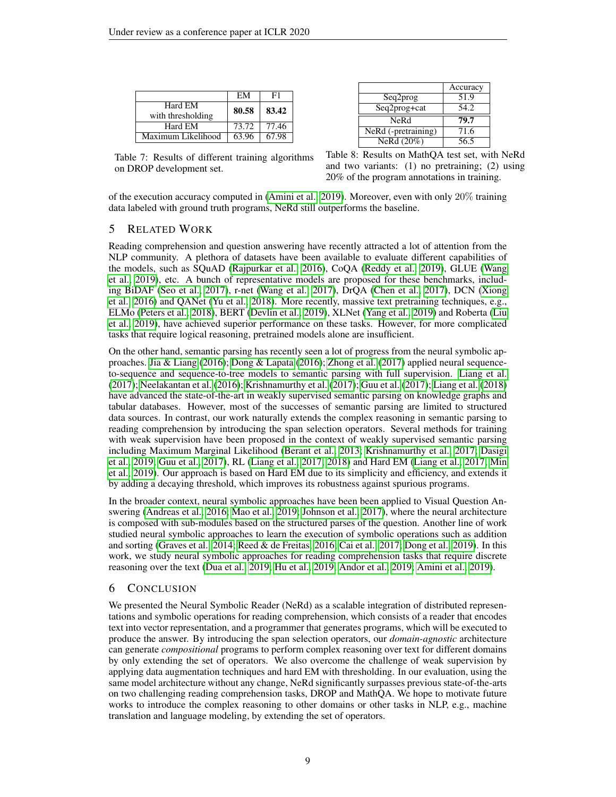<span id="page-8-0"></span>

|                    | EM    | F1    |
|--------------------|-------|-------|
| Hard EM            | 80.58 | 83.42 |
| with thresholding  |       |       |
| Hard EM            | 73.72 | 77.46 |
| Maximum Likelihood | 63.96 | 67.98 |

|                       | Accuracy |
|-----------------------|----------|
| Seq2prog              | 51.9     |
| Seq2prog+cat          | 54.2     |
| NeRd                  | 79.7     |
| $NeRd$ (-pretraining) | 71.6     |
| NeRd (20%)            | 56.5     |
|                       |          |

Table 7: Results of different training algorithms on DROP development set.

Table 8: Results on MathQA test set, with NeRd and two variants: (1) no pretraining; (2) using 20% of the program annotations in training.

of the execution accuracy computed in [\(Amini et al., 2019\)](#page-9-2). Moreover, even with only 20% training data labeled with ground truth programs, NeRd still outperforms the baseline.

## 5 RELATED WORK

Reading comprehension and question answering have recently attracted a lot of attention from the NLP community. A plethora of datasets have been available to evaluate different capabilities of the models, such as SQuAD [\(Rajpurkar et al., 2016\)](#page-10-0), CoQA [\(Reddy et al., 2019\)](#page-10-10), GLUE [\(Wang](#page-11-4) [et al., 2019\)](#page-11-4), etc. A bunch of representative models are proposed for these benchmarks, including BiDAF [\(Seo et al., 2017\)](#page-11-2), r-net [\(Wang et al., 2017\)](#page-11-5), DrQA [\(Chen et al., 2017\)](#page-9-11), DCN [\(Xiong](#page-11-6) [et al., 2016\)](#page-11-6) and QANet [\(Yu et al., 2018\)](#page-11-0). More recently, massive text pretraining techniques, e.g., ELMo [\(Peters et al., 2018\)](#page-10-11), BERT [\(Devlin et al., 2019\)](#page-9-0), XLNet [\(Yang et al., 2019\)](#page-11-7) and Roberta [\(Liu](#page-10-12) [et al., 2019\)](#page-10-12), have achieved superior performance on these tasks. However, for more complicated tasks that require logical reasoning, pretrained models alone are insufficient.

On the other hand, semantic parsing has recently seen a lot of progress from the neural symbolic approaches. [Jia & Liang](#page-9-4) [\(2016\)](#page-9-4); [Dong & Lapata](#page-9-12) [\(2016\)](#page-9-12); [Zhong et al.](#page-11-8) [\(2017\)](#page-11-8) applied neural sequenceto-sequence and sequence-to-tree models to semantic parsing with full supervision. [Liang et al.](#page-10-3) [\(2017\)](#page-10-3); [Neelakantan et al.](#page-10-13) [\(2016\)](#page-10-13); [Krishnamurthy et al.](#page-10-14) [\(2017\)](#page-10-14); [Guu et al.](#page-9-13) [\(2017\)](#page-9-13); [Liang et al.](#page-10-6) [\(2018\)](#page-10-6) have advanced the state-of-the-art in weakly supervised semantic parsing on knowledge graphs and tabular databases. However, most of the successes of semantic parsing are limited to structured data sources. In contrast, our work naturally extends the complex reasoning in semantic parsing to reading comprehension by introducing the span selection operators. Several methods for training with weak supervision have been proposed in the context of weakly supervised semantic parsing including Maximum Marginal Likelihood [\(Berant et al., 2013;](#page-9-5) [Krishnamurthy et al., 2017;](#page-10-14) [Dasigi](#page-9-14) [et al., 2019;](#page-9-14) [Guu et al., 2017\)](#page-9-13), RL [\(Liang et al., 2017;](#page-10-3) [2018\)](#page-10-6) and Hard EM [\(Liang et al., 2017;](#page-10-3) [Min](#page-10-7) [et al., 2019\)](#page-10-7). Our approach is based on Hard EM due to its simplicity and efficiency, and extends it by adding a decaying threshold, which improves its robustness against spurious programs.

In the broader context, neural symbolic approaches have been been applied to Visual Question Answering [\(Andreas et al., 2016;](#page-9-15) [Mao et al., 2019;](#page-10-15) [Johnson et al., 2017\)](#page-10-16), where the neural architecture is composed with sub-modules based on the structured parses of the question. Another line of work studied neural symbolic approaches to learn the execution of symbolic operations such as addition and sorting [\(Graves et al., 2014;](#page-9-16) [Reed & de Freitas, 2016;](#page-10-1) [Cai et al., 2017;](#page-9-3) [Dong et al., 2019\)](#page-9-17). In this work, we study neural symbolic approaches for reading comprehension tasks that require discrete reasoning over the text [\(Dua et al., 2019;](#page-9-1) [Hu et al., 2019;](#page-9-6) [Andor et al., 2019;](#page-9-7) [Amini et al., 2019\)](#page-9-2).

# 6 CONCLUSION

We presented the Neural Symbolic Reader (NeRd) as a scalable integration of distributed representations and symbolic operations for reading comprehension, which consists of a reader that encodes text into vector representation, and a programmer that generates programs, which will be executed to produce the answer. By introducing the span selection operators, our *domain-agnostic* architecture can generate *compositional* programs to perform complex reasoning over text for different domains by only extending the set of operators. We also overcome the challenge of weak supervision by applying data augmentation techniques and hard EM with thresholding. In our evaluation, using the same model architecture without any change, NeRd significantly surpasses previous state-of-the-arts on two challenging reading comprehension tasks, DROP and MathQA. We hope to motivate future works to introduce the complex reasoning to other domains or other tasks in NLP, e.g., machine translation and language modeling, by extending the set of operators.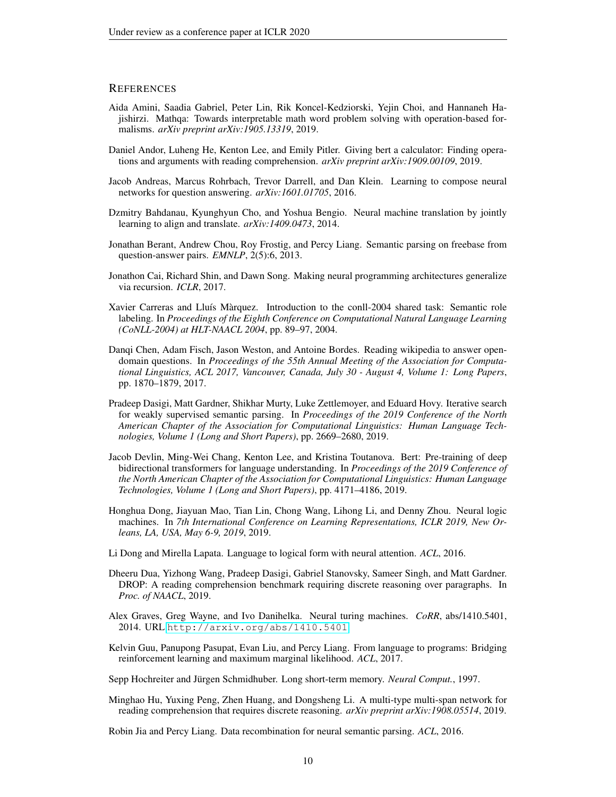## **REFERENCES**

- <span id="page-9-2"></span>Aida Amini, Saadia Gabriel, Peter Lin, Rik Koncel-Kedziorski, Yejin Choi, and Hannaneh Hajishirzi. Mathqa: Towards interpretable math word problem solving with operation-based formalisms. *arXiv preprint arXiv:1905.13319*, 2019.
- <span id="page-9-7"></span>Daniel Andor, Luheng He, Kenton Lee, and Emily Pitler. Giving bert a calculator: Finding operations and arguments with reading comprehension. *arXiv preprint arXiv:1909.00109*, 2019.
- <span id="page-9-15"></span>Jacob Andreas, Marcus Rohrbach, Trevor Darrell, and Dan Klein. Learning to compose neural networks for question answering. *arXiv:1601.01705*, 2016.
- <span id="page-9-9"></span>Dzmitry Bahdanau, Kyunghyun Cho, and Yoshua Bengio. Neural machine translation by jointly learning to align and translate. *arXiv:1409.0473*, 2014.
- <span id="page-9-5"></span>Jonathan Berant, Andrew Chou, Roy Frostig, and Percy Liang. Semantic parsing on freebase from question-answer pairs. *EMNLP*, 2(5):6, 2013.
- <span id="page-9-3"></span>Jonathon Cai, Richard Shin, and Dawn Song. Making neural programming architectures generalize via recursion. *ICLR*, 2017.
- <span id="page-9-10"></span>Xavier Carreras and Lluís Màrquez. Introduction to the conll-2004 shared task: Semantic role labeling. In *Proceedings of the Eighth Conference on Computational Natural Language Learning (CoNLL-2004) at HLT-NAACL 2004*, pp. 89–97, 2004.
- <span id="page-9-11"></span>Danqi Chen, Adam Fisch, Jason Weston, and Antoine Bordes. Reading wikipedia to answer opendomain questions. In *Proceedings of the 55th Annual Meeting of the Association for Computational Linguistics, ACL 2017, Vancouver, Canada, July 30 - August 4, Volume 1: Long Papers*, pp. 1870–1879, 2017.
- <span id="page-9-14"></span>Pradeep Dasigi, Matt Gardner, Shikhar Murty, Luke Zettlemoyer, and Eduard Hovy. Iterative search for weakly supervised semantic parsing. In *Proceedings of the 2019 Conference of the North American Chapter of the Association for Computational Linguistics: Human Language Technologies, Volume 1 (Long and Short Papers)*, pp. 2669–2680, 2019.
- <span id="page-9-0"></span>Jacob Devlin, Ming-Wei Chang, Kenton Lee, and Kristina Toutanova. Bert: Pre-training of deep bidirectional transformers for language understanding. In *Proceedings of the 2019 Conference of the North American Chapter of the Association for Computational Linguistics: Human Language Technologies, Volume 1 (Long and Short Papers)*, pp. 4171–4186, 2019.
- <span id="page-9-17"></span>Honghua Dong, Jiayuan Mao, Tian Lin, Chong Wang, Lihong Li, and Denny Zhou. Neural logic machines. In *7th International Conference on Learning Representations, ICLR 2019, New Orleans, LA, USA, May 6-9, 2019*, 2019.
- <span id="page-9-12"></span>Li Dong and Mirella Lapata. Language to logical form with neural attention. *ACL*, 2016.
- <span id="page-9-1"></span>Dheeru Dua, Yizhong Wang, Pradeep Dasigi, Gabriel Stanovsky, Sameer Singh, and Matt Gardner. DROP: A reading comprehension benchmark requiring discrete reasoning over paragraphs. In *Proc. of NAACL*, 2019.
- <span id="page-9-16"></span>Alex Graves, Greg Wayne, and Ivo Danihelka. Neural turing machines. *CoRR*, abs/1410.5401, 2014. URL <http://arxiv.org/abs/1410.5401>.
- <span id="page-9-13"></span>Kelvin Guu, Panupong Pasupat, Evan Liu, and Percy Liang. From language to programs: Bridging reinforcement learning and maximum marginal likelihood. *ACL*, 2017.
- <span id="page-9-8"></span>Sepp Hochreiter and Jürgen Schmidhuber. Long short-term memory. *Neural Comput.*, 1997.
- <span id="page-9-6"></span>Minghao Hu, Yuxing Peng, Zhen Huang, and Dongsheng Li. A multi-type multi-span network for reading comprehension that requires discrete reasoning. *arXiv preprint arXiv:1908.05514*, 2019.

<span id="page-9-4"></span>Robin Jia and Percy Liang. Data recombination for neural semantic parsing. *ACL*, 2016.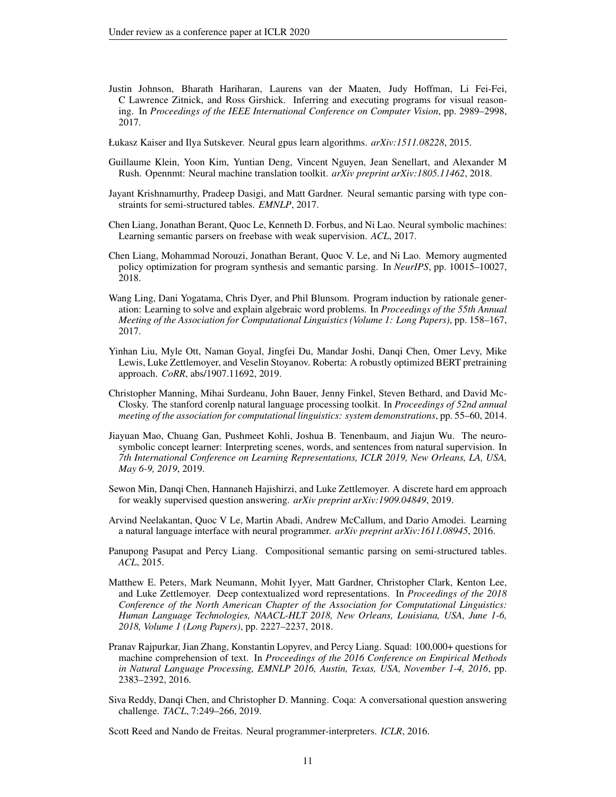- <span id="page-10-16"></span>Justin Johnson, Bharath Hariharan, Laurens van der Maaten, Judy Hoffman, Li Fei-Fei, C Lawrence Zitnick, and Ross Girshick. Inferring and executing programs for visual reasoning. In *Proceedings of the IEEE International Conference on Computer Vision*, pp. 2989–2998, 2017.
- <span id="page-10-2"></span>Łukasz Kaiser and Ilya Sutskever. Neural gpus learn algorithms. *arXiv:1511.08228*, 2015.
- <span id="page-10-9"></span>Guillaume Klein, Yoon Kim, Yuntian Deng, Vincent Nguyen, Jean Senellart, and Alexander M Rush. Opennmt: Neural machine translation toolkit. *arXiv preprint arXiv:1805.11462*, 2018.
- <span id="page-10-14"></span>Jayant Krishnamurthy, Pradeep Dasigi, and Matt Gardner. Neural semantic parsing with type constraints for semi-structured tables. *EMNLP*, 2017.
- <span id="page-10-3"></span>Chen Liang, Jonathan Berant, Quoc Le, Kenneth D. Forbus, and Ni Lao. Neural symbolic machines: Learning semantic parsers on freebase with weak supervision. *ACL*, 2017.
- <span id="page-10-6"></span>Chen Liang, Mohammad Norouzi, Jonathan Berant, Quoc V. Le, and Ni Lao. Memory augmented policy optimization for program synthesis and semantic parsing. In *NeurIPS*, pp. 10015–10027, 2018.
- <span id="page-10-8"></span>Wang Ling, Dani Yogatama, Chris Dyer, and Phil Blunsom. Program induction by rationale generation: Learning to solve and explain algebraic word problems. In *Proceedings of the 55th Annual Meeting of the Association for Computational Linguistics (Volume 1: Long Papers)*, pp. 158–167, 2017.
- <span id="page-10-12"></span>Yinhan Liu, Myle Ott, Naman Goyal, Jingfei Du, Mandar Joshi, Danqi Chen, Omer Levy, Mike Lewis, Luke Zettlemoyer, and Veselin Stoyanov. Roberta: A robustly optimized BERT pretraining approach. *CoRR*, abs/1907.11692, 2019.
- <span id="page-10-5"></span>Christopher Manning, Mihai Surdeanu, John Bauer, Jenny Finkel, Steven Bethard, and David Mc-Closky. The stanford corenlp natural language processing toolkit. In *Proceedings of 52nd annual meeting of the association for computational linguistics: system demonstrations*, pp. 55–60, 2014.
- <span id="page-10-15"></span>Jiayuan Mao, Chuang Gan, Pushmeet Kohli, Joshua B. Tenenbaum, and Jiajun Wu. The neurosymbolic concept learner: Interpreting scenes, words, and sentences from natural supervision. In *7th International Conference on Learning Representations, ICLR 2019, New Orleans, LA, USA, May 6-9, 2019*, 2019.
- <span id="page-10-7"></span>Sewon Min, Danqi Chen, Hannaneh Hajishirzi, and Luke Zettlemoyer. A discrete hard em approach for weakly supervised question answering. *arXiv preprint arXiv:1909.04849*, 2019.
- <span id="page-10-13"></span>Arvind Neelakantan, Quoc V Le, Martin Abadi, Andrew McCallum, and Dario Amodei. Learning a natural language interface with neural programmer. *arXiv preprint arXiv:1611.08945*, 2016.
- <span id="page-10-4"></span>Panupong Pasupat and Percy Liang. Compositional semantic parsing on semi-structured tables. *ACL*, 2015.
- <span id="page-10-11"></span>Matthew E. Peters, Mark Neumann, Mohit Iyyer, Matt Gardner, Christopher Clark, Kenton Lee, and Luke Zettlemoyer. Deep contextualized word representations. In *Proceedings of the 2018 Conference of the North American Chapter of the Association for Computational Linguistics: Human Language Technologies, NAACL-HLT 2018, New Orleans, Louisiana, USA, June 1-6, 2018, Volume 1 (Long Papers)*, pp. 2227–2237, 2018.
- <span id="page-10-0"></span>Pranav Rajpurkar, Jian Zhang, Konstantin Lopyrev, and Percy Liang. Squad: 100,000+ questions for machine comprehension of text. In *Proceedings of the 2016 Conference on Empirical Methods in Natural Language Processing, EMNLP 2016, Austin, Texas, USA, November 1-4, 2016*, pp. 2383–2392, 2016.
- <span id="page-10-10"></span>Siva Reddy, Danqi Chen, and Christopher D. Manning. Coqa: A conversational question answering challenge. *TACL*, 7:249–266, 2019.

<span id="page-10-1"></span>Scott Reed and Nando de Freitas. Neural programmer-interpreters. *ICLR*, 2016.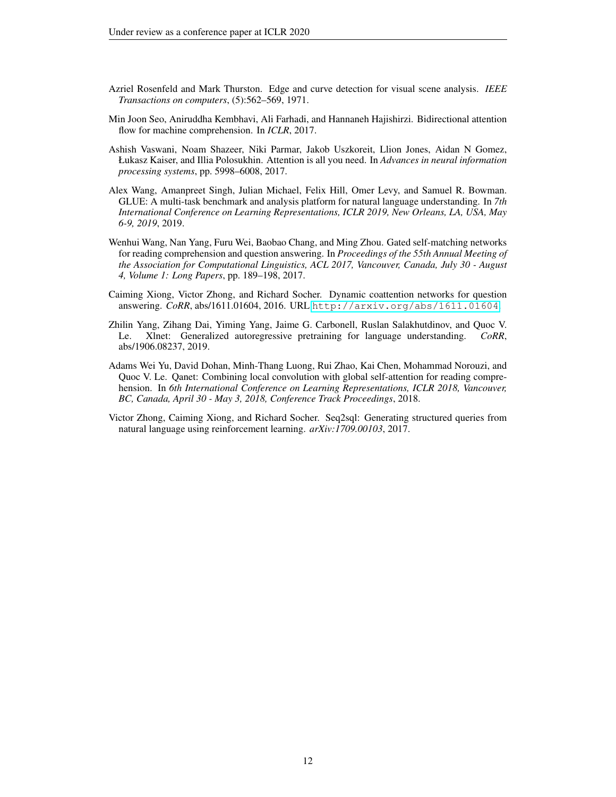- <span id="page-11-3"></span>Azriel Rosenfeld and Mark Thurston. Edge and curve detection for visual scene analysis. *IEEE Transactions on computers*, (5):562–569, 1971.
- <span id="page-11-2"></span>Min Joon Seo, Aniruddha Kembhavi, Ali Farhadi, and Hannaneh Hajishirzi. Bidirectional attention flow for machine comprehension. In *ICLR*, 2017.
- <span id="page-11-1"></span>Ashish Vaswani, Noam Shazeer, Niki Parmar, Jakob Uszkoreit, Llion Jones, Aidan N Gomez, Łukasz Kaiser, and Illia Polosukhin. Attention is all you need. In *Advances in neural information processing systems*, pp. 5998–6008, 2017.
- <span id="page-11-4"></span>Alex Wang, Amanpreet Singh, Julian Michael, Felix Hill, Omer Levy, and Samuel R. Bowman. GLUE: A multi-task benchmark and analysis platform for natural language understanding. In *7th International Conference on Learning Representations, ICLR 2019, New Orleans, LA, USA, May 6-9, 2019*, 2019.
- <span id="page-11-5"></span>Wenhui Wang, Nan Yang, Furu Wei, Baobao Chang, and Ming Zhou. Gated self-matching networks for reading comprehension and question answering. In *Proceedings of the 55th Annual Meeting of the Association for Computational Linguistics, ACL 2017, Vancouver, Canada, July 30 - August 4, Volume 1: Long Papers*, pp. 189–198, 2017.
- <span id="page-11-6"></span>Caiming Xiong, Victor Zhong, and Richard Socher. Dynamic coattention networks for question answering. *CoRR*, abs/1611.01604, 2016. URL <http://arxiv.org/abs/1611.01604>.
- <span id="page-11-7"></span>Zhilin Yang, Zihang Dai, Yiming Yang, Jaime G. Carbonell, Ruslan Salakhutdinov, and Quoc V. Le. Xlnet: Generalized autoregressive pretraining for language understanding. *CoRR*, abs/1906.08237, 2019.
- <span id="page-11-0"></span>Adams Wei Yu, David Dohan, Minh-Thang Luong, Rui Zhao, Kai Chen, Mohammad Norouzi, and Quoc V. Le. Qanet: Combining local convolution with global self-attention for reading comprehension. In *6th International Conference on Learning Representations, ICLR 2018, Vancouver, BC, Canada, April 30 - May 3, 2018, Conference Track Proceedings*, 2018.
- <span id="page-11-8"></span>Victor Zhong, Caiming Xiong, and Richard Socher. Seq2sql: Generating structured queries from natural language using reinforcement learning. *arXiv:1709.00103*, 2017.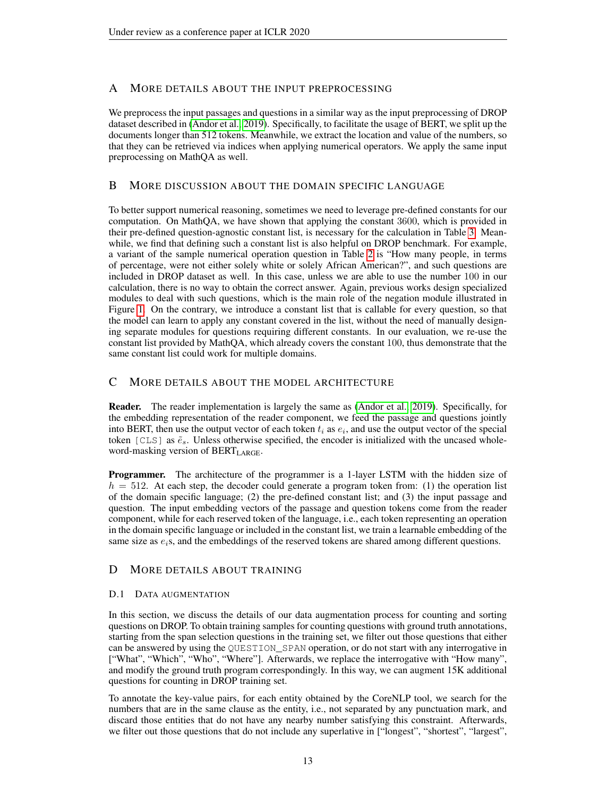# A MORE DETAILS ABOUT THE INPUT PREPROCESSING

We preprocess the input passages and questions in a similar way as the input preprocessing of DROP dataset described in [\(Andor et al., 2019\)](#page-9-7). Specifically, to facilitate the usage of BERT, we split up the documents longer than 512 tokens. Meanwhile, we extract the location and value of the numbers, so that they can be retrieved via indices when applying numerical operators. We apply the same input preprocessing on MathQA as well.

# B MORE DISCUSSION ABOUT THE DOMAIN SPECIFIC LANGUAGE

To better support numerical reasoning, sometimes we need to leverage pre-defined constants for our computation. On MathQA, we have shown that applying the constant 3600, which is provided in their pre-defined question-agnostic constant list, is necessary for the calculation in Table [3.](#page-5-1) Meanwhile, we find that defining such a constant list is also helpful on DROP benchmark. For example, a variant of the sample numerical operation question in Table [2](#page-5-0) is "How many people, in terms of percentage, were not either solely white or solely African American?", and such questions are included in DROP dataset as well. In this case, unless we are able to use the number 100 in our calculation, there is no way to obtain the correct answer. Again, previous works design specialized modules to deal with such questions, which is the main role of the negation module illustrated in Figure [1.](#page-1-0) On the contrary, we introduce a constant list that is callable for every question, so that the model can learn to apply any constant covered in the list, without the need of manually designing separate modules for questions requiring different constants. In our evaluation, we re-use the constant list provided by MathQA, which already covers the constant 100, thus demonstrate that the same constant list could work for multiple domains.

# C MORE DETAILS ABOUT THE MODEL ARCHITECTURE

Reader. The reader implementation is largely the same as [\(Andor et al., 2019\)](#page-9-7). Specifically, for the embedding representation of the reader component, we feed the passage and questions jointly into BERT, then use the output vector of each token  $t_i$  as  $e_i$ , and use the output vector of the special token [CLS] as  $\tilde{e}_s$ . Unless otherwise specified, the encoder is initialized with the uncased wholeword-masking version of  $BERT_{LARGE}$ .

Programmer. The architecture of the programmer is a 1-layer LSTM with the hidden size of  $h = 512$ . At each step, the decoder could generate a program token from: (1) the operation list of the domain specific language; (2) the pre-defined constant list; and (3) the input passage and question. The input embedding vectors of the passage and question tokens come from the reader component, while for each reserved token of the language, i.e., each token representing an operation in the domain specific language or included in the constant list, we train a learnable embedding of the same size as  $e_i$ s, and the embeddings of the reserved tokens are shared among different questions.

# D MORE DETAILS ABOUT TRAINING

# <span id="page-12-0"></span>D.1 DATA AUGMENTATION

In this section, we discuss the details of our data augmentation process for counting and sorting questions on DROP. To obtain training samples for counting questions with ground truth annotations, starting from the span selection questions in the training set, we filter out those questions that either can be answered by using the QUESTION\_SPAN operation, or do not start with any interrogative in ["What", "Which", "Who", "Where"]. Afterwards, we replace the interrogative with "How many", and modify the ground truth program correspondingly. In this way, we can augment 15K additional questions for counting in DROP training set.

To annotate the key-value pairs, for each entity obtained by the CoreNLP tool, we search for the numbers that are in the same clause as the entity, i.e., not separated by any punctuation mark, and discard those entities that do not have any nearby number satisfying this constraint. Afterwards, we filter out those questions that do not include any superlative in ["longest", "shortest", "largest",